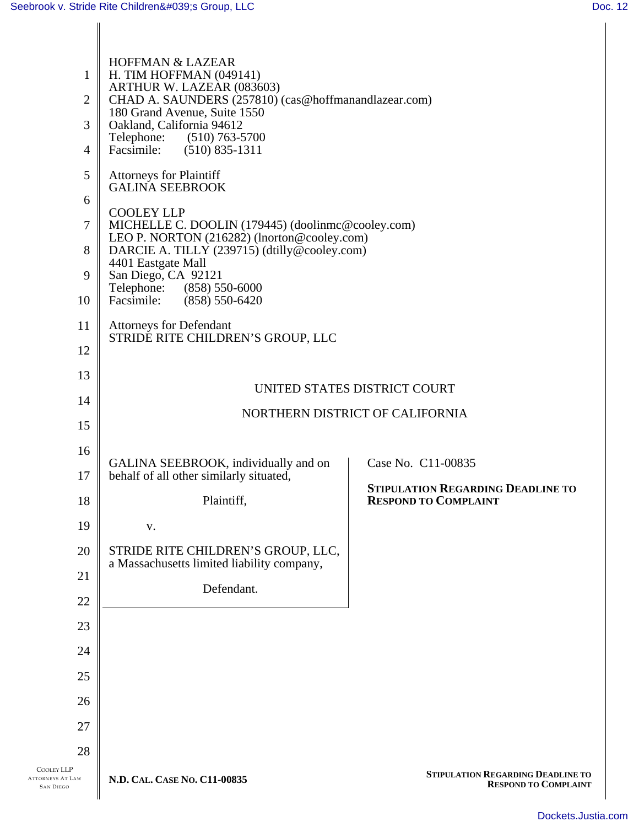| <b>HOFFMAN &amp; LAZEAR</b><br>H. TIM HOFFMAN (049141)<br>ARTHUR W. LAZEAR (083603)<br>CHAD A. SAUNDERS (257810) (cas@hoffmanandlazear.com)<br>180 Grand Avenue, Suite 1550<br>Oakland, California 94612<br>Telephone:<br>$(510)$ 763-5700<br>Facsimile:<br>$(510) 835 - 1311$<br><b>Attorneys for Plaintiff</b><br><b>GALINA SEEBROOK</b><br><b>COOLEY LLP</b><br>MICHELLE C. DOOLIN (179445) (doolinmc@cooley.com)<br>LEO P. NORTON (216282) (lnorton@cooley.com)<br>DARCIE A. TILLY (239715) (dtilly@cooley.com)<br>4401 Eastgate Mall<br>San Diego, CA 92121<br>Telephone:<br>$(858) 550 - 6000$<br>Facsimile:<br>$(858) 550 - 6420$<br><b>Attorneys for Defendant</b><br>STRIDE RITE CHILDREN'S GROUP, LLC |                                                                         |
|-----------------------------------------------------------------------------------------------------------------------------------------------------------------------------------------------------------------------------------------------------------------------------------------------------------------------------------------------------------------------------------------------------------------------------------------------------------------------------------------------------------------------------------------------------------------------------------------------------------------------------------------------------------------------------------------------------------------|-------------------------------------------------------------------------|
| UNITED STATES DISTRICT COURT                                                                                                                                                                                                                                                                                                                                                                                                                                                                                                                                                                                                                                                                                    |                                                                         |
| NORTHERN DISTRICT OF CALIFORNIA                                                                                                                                                                                                                                                                                                                                                                                                                                                                                                                                                                                                                                                                                 |                                                                         |
|                                                                                                                                                                                                                                                                                                                                                                                                                                                                                                                                                                                                                                                                                                                 |                                                                         |
|                                                                                                                                                                                                                                                                                                                                                                                                                                                                                                                                                                                                                                                                                                                 | Case No. C11-00835                                                      |
| behalf of all other similarly situated,                                                                                                                                                                                                                                                                                                                                                                                                                                                                                                                                                                                                                                                                         | <b>STIPULATION REGARDING DEADLINE TO</b>                                |
| Plaintiff,                                                                                                                                                                                                                                                                                                                                                                                                                                                                                                                                                                                                                                                                                                      | <b>RESPOND TO COMPLAINT</b>                                             |
| V.                                                                                                                                                                                                                                                                                                                                                                                                                                                                                                                                                                                                                                                                                                              |                                                                         |
| STRIDE RITE CHILDREN'S GROUP, LLC,<br>a Massachusetts limited liability company,                                                                                                                                                                                                                                                                                                                                                                                                                                                                                                                                                                                                                                |                                                                         |
| Defendant.                                                                                                                                                                                                                                                                                                                                                                                                                                                                                                                                                                                                                                                                                                      |                                                                         |
|                                                                                                                                                                                                                                                                                                                                                                                                                                                                                                                                                                                                                                                                                                                 |                                                                         |
|                                                                                                                                                                                                                                                                                                                                                                                                                                                                                                                                                                                                                                                                                                                 |                                                                         |
|                                                                                                                                                                                                                                                                                                                                                                                                                                                                                                                                                                                                                                                                                                                 |                                                                         |
|                                                                                                                                                                                                                                                                                                                                                                                                                                                                                                                                                                                                                                                                                                                 |                                                                         |
|                                                                                                                                                                                                                                                                                                                                                                                                                                                                                                                                                                                                                                                                                                                 |                                                                         |
|                                                                                                                                                                                                                                                                                                                                                                                                                                                                                                                                                                                                                                                                                                                 |                                                                         |
|                                                                                                                                                                                                                                                                                                                                                                                                                                                                                                                                                                                                                                                                                                                 |                                                                         |
| N.D. CAL. CASE No. C11-00835                                                                                                                                                                                                                                                                                                                                                                                                                                                                                                                                                                                                                                                                                    | <b>STIPULATION REGARDING DEADLINE TO</b><br><b>RESPOND TO COMPLAINT</b> |
|                                                                                                                                                                                                                                                                                                                                                                                                                                                                                                                                                                                                                                                                                                                 | GALINA SEEBROOK, individually and on                                    |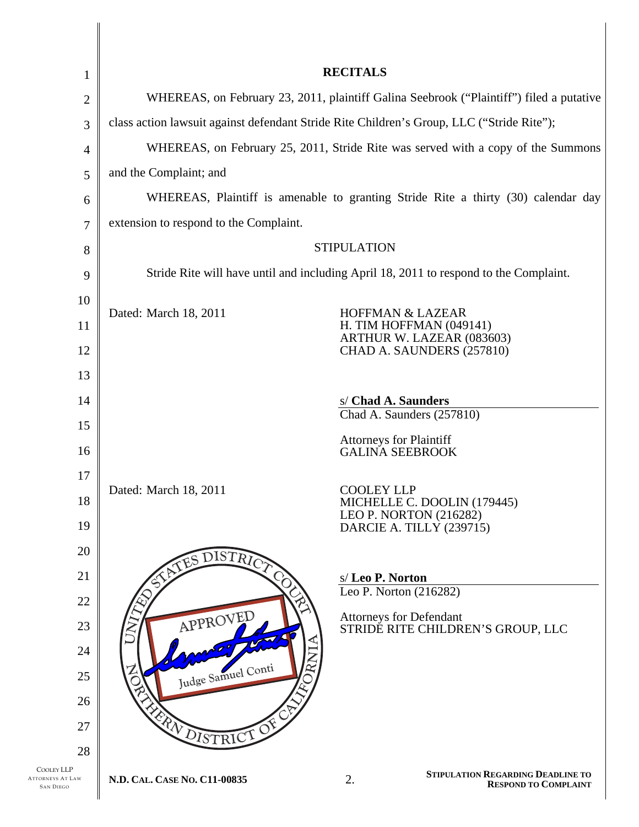| $\mathbf{1}$                                              | <b>RECITALS</b>                                                                           |                                                                               |
|-----------------------------------------------------------|-------------------------------------------------------------------------------------------|-------------------------------------------------------------------------------|
| $\overline{c}$                                            | WHEREAS, on February 23, 2011, plaintiff Galina Seebrook ("Plaintiff") filed a putative   |                                                                               |
| 3                                                         | class action lawsuit against defendant Stride Rite Children's Group, LLC ("Stride Rite"); |                                                                               |
| 4                                                         | WHEREAS, on February 25, 2011, Stride Rite was served with a copy of the Summons          |                                                                               |
| 5                                                         | and the Complaint; and                                                                    |                                                                               |
| 6                                                         | WHEREAS, Plaintiff is amenable to granting Stride Rite a thirty (30) calendar day         |                                                                               |
| 7                                                         | extension to respond to the Complaint.                                                    |                                                                               |
| 8                                                         | <b>STIPULATION</b>                                                                        |                                                                               |
| 9                                                         | Stride Rite will have until and including April 18, 2011 to respond to the Complaint.     |                                                                               |
| 10                                                        |                                                                                           | <b>HOFFMAN &amp; LAZEAR</b>                                                   |
| 11                                                        | Dated: March 18, 2011                                                                     | H. TIM HOFFMAN (049141)                                                       |
| 12                                                        |                                                                                           | ARTHUR W. LAZEAR (083603)<br>CHAD A. SAUNDERS (257810)                        |
| 13                                                        |                                                                                           |                                                                               |
| 14                                                        |                                                                                           | s/ Chad A. Saunders                                                           |
| 15                                                        |                                                                                           | Chad A. Saunders (257810)                                                     |
| 16                                                        |                                                                                           | <b>Attorneys for Plaintiff</b><br><b>GALINA SEEBROOK</b>                      |
| 17                                                        |                                                                                           |                                                                               |
| 18                                                        | Dated: March 18, 2011                                                                     | <b>COOLEY LLP</b><br>MICHELLE C. DOOLIN (179445)                              |
| 19                                                        |                                                                                           | <b>LEO P. NORTON (216282)</b><br>DARCIE A. TILLY (239715)                     |
| 20                                                        | DISTRICT                                                                                  |                                                                               |
| 21                                                        | JES                                                                                       | s/Leo P. Norton                                                               |
| 22                                                        |                                                                                           | Leo P. Norton (216282)                                                        |
| 23                                                        | APPROVED                                                                                  | <b>Attorneys for Defendant</b><br>STRIDĖ RITE CHILDREN'S GROUP, LLC           |
| 24                                                        |                                                                                           |                                                                               |
| 25                                                        | Judge Samuel Conti                                                                        |                                                                               |
| 26                                                        |                                                                                           |                                                                               |
| 27                                                        | DISTRICT OF                                                                               |                                                                               |
| 28                                                        |                                                                                           |                                                                               |
| COOLEY LLP<br><b>ATTORNEYS AT LAW</b><br><b>SAN DIEGO</b> | N.D. CAL. CASE No. C11-00835                                                              | <b>STIPULATION REGARDING DEADLINE TO</b><br>2.<br><b>RESPOND TO COMPLAINT</b> |

Ι